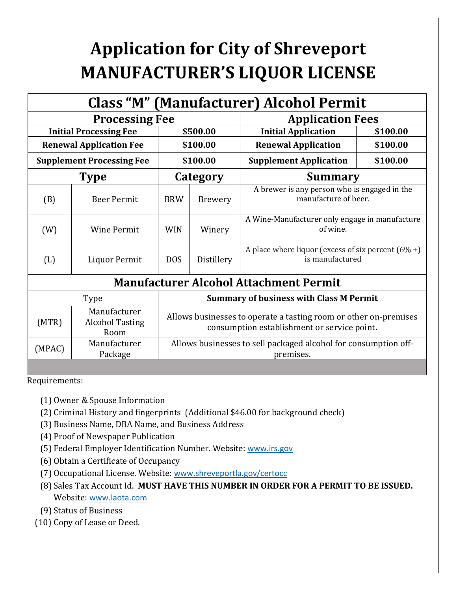## **Application for City of Shreveport MANUFACTURER'S LIQUOR LICENSE**

| <b>Class "M" (Manufacturer) Alcohol Permit</b> |                                                |                                                                                                                 |                                                |                                                                          |          |  |  |  |
|------------------------------------------------|------------------------------------------------|-----------------------------------------------------------------------------------------------------------------|------------------------------------------------|--------------------------------------------------------------------------|----------|--|--|--|
| <b>Processing Fee</b>                          |                                                |                                                                                                                 |                                                | <b>Application Fees</b>                                                  |          |  |  |  |
| <b>Initial Processing Fee</b>                  |                                                | \$500.00                                                                                                        |                                                | <b>Initial Application</b>                                               | \$100.00 |  |  |  |
| <b>Renewal Application Fee</b>                 |                                                | \$100.00                                                                                                        |                                                | <b>Renewal Application</b>                                               | \$100.00 |  |  |  |
| <b>Supplement Processing Fee</b>               |                                                | \$100.00                                                                                                        |                                                | <b>Supplement Application</b>                                            | \$100.00 |  |  |  |
| <b>Type</b>                                    |                                                | Category                                                                                                        |                                                | <b>Summary</b>                                                           |          |  |  |  |
| (B)                                            | <b>Beer Permit</b>                             | <b>BRW</b>                                                                                                      | <b>Brewery</b>                                 | A brewer is any person who is engaged in the<br>manufacture of beer.     |          |  |  |  |
| (W)                                            | <b>Wine Permit</b>                             | <b>WIN</b>                                                                                                      | Winery                                         | A Wine-Manufacturer only engage in manufacture<br>of wine.               |          |  |  |  |
| (L)                                            | Liquor Permit                                  | <b>DOS</b>                                                                                                      | Distillery                                     | A place where liquor (excess of six percent $(6\% +)$<br>is manufactured |          |  |  |  |
|                                                |                                                |                                                                                                                 |                                                | <b>Manufacturer Alcohol Attachment Permit</b>                            |          |  |  |  |
| Type                                           |                                                |                                                                                                                 | <b>Summary of business with Class M Permit</b> |                                                                          |          |  |  |  |
| (MTR)                                          | Manufacturer<br><b>Alcohol Tasting</b><br>Room | Allows businesses to operate a tasting room or other on-premises<br>consumption establishment or service point. |                                                |                                                                          |          |  |  |  |
| (MPAC)                                         | Manufacturer<br>Package                        | Allows businesses to sell packaged alcohol for consumption off-<br>premises.                                    |                                                |                                                                          |          |  |  |  |

Requirements:

- (1) Owner & Spouse Information
- (2) Criminal History and fingerprints (Additional \$46.00 for background check)
- (3) Business Name, DBA Name, and Business Address
- (4) Proof of Newspaper Publication
- (5) Federal Employer Identification Number. Website: [www.irs.gov](http://www.irs.gov/)
- (6) Obtain a Certificate of Occupancy
- (7) Occupational License. Website: [www.shreveportla.gov/certocc](http://www.shreveportla.gov/certocc)
- (8)Sales Tax Account Id. **MUST HAVE THIS NUMBER IN ORDER FOR A PERMIT TO BE ISSUED.**  Website: [www.laota.com](http://www.laota.com/)

(9) Status of Business

(10) Copy of Lease or Deed.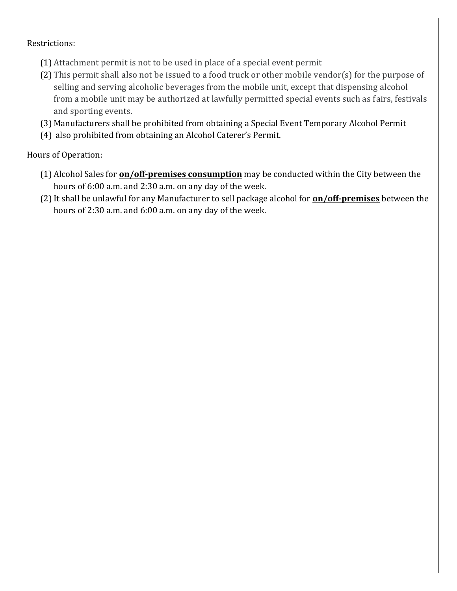## Restrictions:

- (1) Attachment permit is not to be used in place of a special event permit
- (2) This permit shall also not be issued to a food truck or other mobile vendor(s) for the purpose of selling and serving alcoholic beverages from the mobile unit, except that dispensing alcohol from a mobile unit may be authorized at lawfully permitted special events such as fairs, festivals and sporting events.
- (3) Manufacturers shall be prohibited from obtaining a Special Event Temporary Alcohol Permit
- (4) also prohibited from obtaining an Alcohol Caterer's Permit.

Hours of Operation:

- (1) Alcohol Sales for **on/off-premises consumption** may be conducted within the City between the hours of 6:00 a.m. and 2:30 a.m. on any day of the week.
- (2)It shall be unlawful for any Manufacturer to sell package alcohol for **on/off-premises** between the hours of 2:30 a.m. and 6:00 a.m. on any day of the week.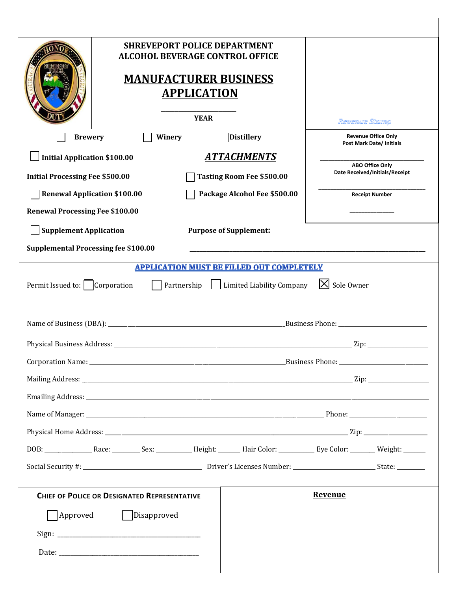|                                             | <b>SHREVEPORT POLICE DEPARTMENT</b><br><b>ALCOHOL BEVERAGE CONTROL OFFICE</b><br><b>MANUFACTURER BUSINESS</b><br><b>APPLICATION</b><br><b>YEAR</b> |                              | <b>Revenue Stamp</b>           | <b>Revenue Office Only</b> |
|---------------------------------------------|----------------------------------------------------------------------------------------------------------------------------------------------------|------------------------------|--------------------------------|----------------------------|
| <b>Brewery</b>                              | <b>Distillery</b><br>Winery                                                                                                                        |                              |                                | Post Mark Date/ Initials   |
| <b>Initial Application \$100.00</b>         | <b>ATTACHMENTS</b>                                                                                                                                 |                              |                                | <b>ABO Office Only</b>     |
| <b>Initial Processing Fee \$500.00</b>      | <b>Tasting Room Fee \$500.00</b>                                                                                                                   |                              | Date Received/Initials/Receipt |                            |
| <b>Renewal Application \$100.00</b>         |                                                                                                                                                    | Package Alcohol Fee \$500.00 |                                | <b>Receipt Number</b>      |
| <b>Renewal Processing Fee \$100.00</b>      |                                                                                                                                                    |                              |                                |                            |
| <b>Supplement Application</b>               | <b>Purpose of Supplement:</b>                                                                                                                      |                              |                                |                            |
| <b>Supplemental Processing fee \$100.00</b> |                                                                                                                                                    |                              |                                |                            |
|                                             | <b>APPLICATION MUST BE FILLED OUT COMPLETELY</b>                                                                                                   |                              |                                |                            |
| Permit Issued to:   Corporation             | Partnership                                                                                                                                        | Limited Liability Company    | $ X $ Sole Owner               |                            |
|                                             |                                                                                                                                                    |                              |                                |                            |
|                                             |                                                                                                                                                    |                              |                                | $\mathbf{Zip:}$            |
|                                             |                                                                                                                                                    |                              |                                |                            |
|                                             |                                                                                                                                                    |                              |                                |                            |
|                                             |                                                                                                                                                    |                              |                                |                            |
|                                             |                                                                                                                                                    |                              |                                |                            |
|                                             |                                                                                                                                                    |                              |                                |                            |
|                                             |                                                                                                                                                    |                              |                                |                            |
|                                             |                                                                                                                                                    |                              |                                |                            |
|                                             | <b>CHIEF OF POLICE OR DESIGNATED REPRESENTATIVE</b>                                                                                                |                              | <b>Revenue</b>                 |                            |
| Approved                                    | Disapproved                                                                                                                                        |                              |                                |                            |
|                                             |                                                                                                                                                    |                              |                                |                            |
|                                             |                                                                                                                                                    |                              |                                |                            |
|                                             |                                                                                                                                                    |                              |                                |                            |